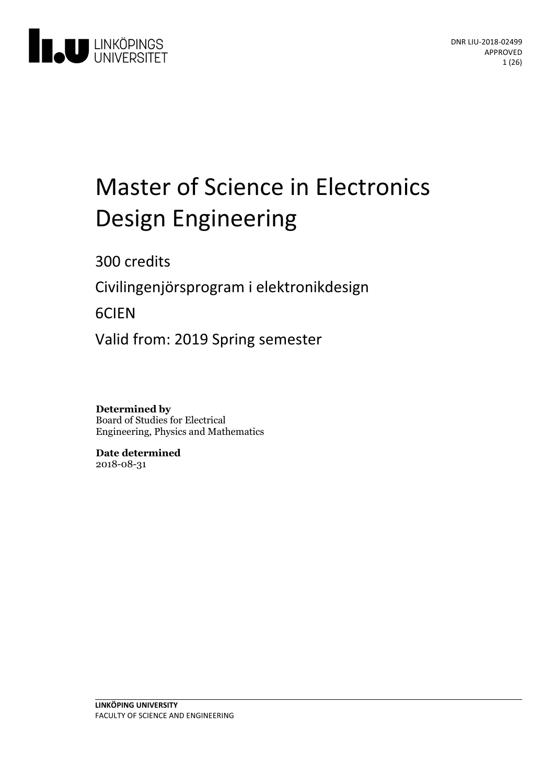

# Master of Science in Electronics Design Engineering

300 credits

Civilingenjörsprogram i elektronikdesign

6CIEN

Valid from: 2019 Spring semester

**Determined by** Board of Studies for Electrical Engineering, Physics and Mathematics

**Date determined** 2018-08-31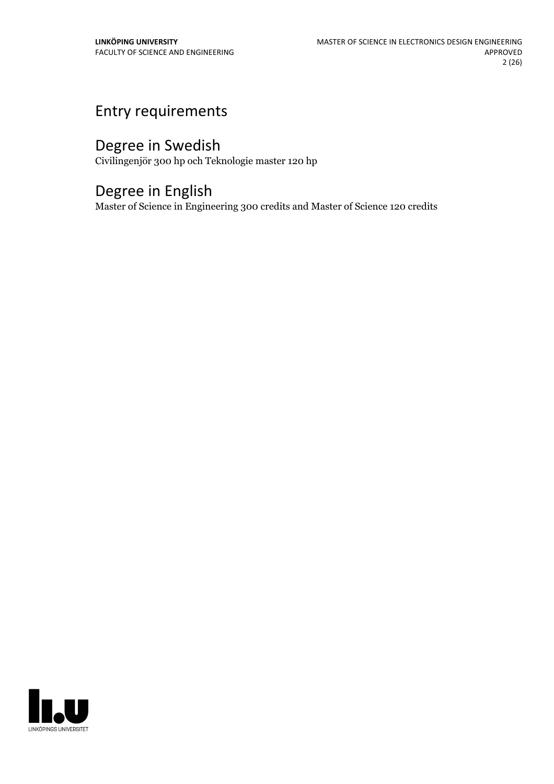## Entry requirements

## Degree in Swedish

Civilingenjör 300 hp och Teknologie master 120 hp

## Degree in English

Master of Science in Engineering 300 credits and Master of Science 120 credits

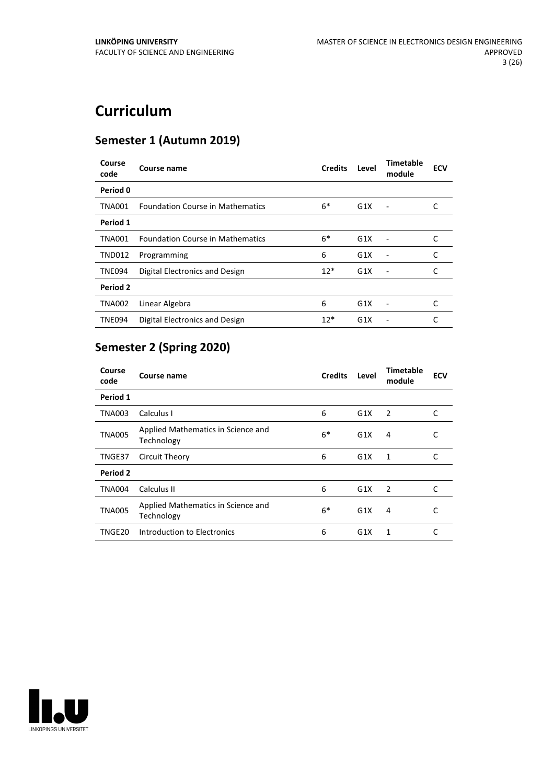## **Curriculum**

## **Semester 1 (Autumn 2019)**

| Course<br>code | Course name                             | <b>Credits</b> | Level | <b>Timetable</b><br>module   | <b>ECV</b> |
|----------------|-----------------------------------------|----------------|-------|------------------------------|------------|
| Period 0       |                                         |                |       |                              |            |
| <b>TNA001</b>  | <b>Foundation Course in Mathematics</b> | $6*$           | G1X   |                              | C          |
| Period 1       |                                         |                |       |                              |            |
| <b>TNA001</b>  | <b>Foundation Course in Mathematics</b> | $6*$           | G1X   |                              | C          |
| <b>TND012</b>  | Programming                             | 6              | G1X   |                              | C          |
| <b>TNE094</b>  | Digital Electronics and Design          | $12*$          | G1X   | $\qquad \qquad \blacksquare$ | C          |
| Period 2       |                                         |                |       |                              |            |
| <b>TNA002</b>  | Linear Algebra                          | 6              | G1X   |                              | C          |
| <b>TNE094</b>  | Digital Electronics and Design          | $12*$          | G1X   |                              |            |

## **Semester 2 (Spring 2020)**

| Course<br>code | Course name                                      | <b>Credits</b> | Level | <b>Timetable</b><br>module | <b>ECV</b> |
|----------------|--------------------------------------------------|----------------|-------|----------------------------|------------|
| Period 1       |                                                  |                |       |                            |            |
| TNA003         | Calculus I                                       | 6              | G1X   | 2                          | C          |
| <b>TNA005</b>  | Applied Mathematics in Science and<br>Technology | $6*$           | G1X   | 4                          | С          |
| TNGE37         | Circuit Theory                                   | 6              | G1X   | 1                          | C          |
| Period 2       |                                                  |                |       |                            |            |
| <b>TNA004</b>  | Calculus II                                      | 6              | G1X   | 2                          | C          |
| <b>TNA005</b>  | Applied Mathematics in Science and<br>Technology | $6*$           | G1X   | 4                          | C          |
| TNGE20         | Introduction to Electronics                      | 6              | G1X   | 1                          | C          |

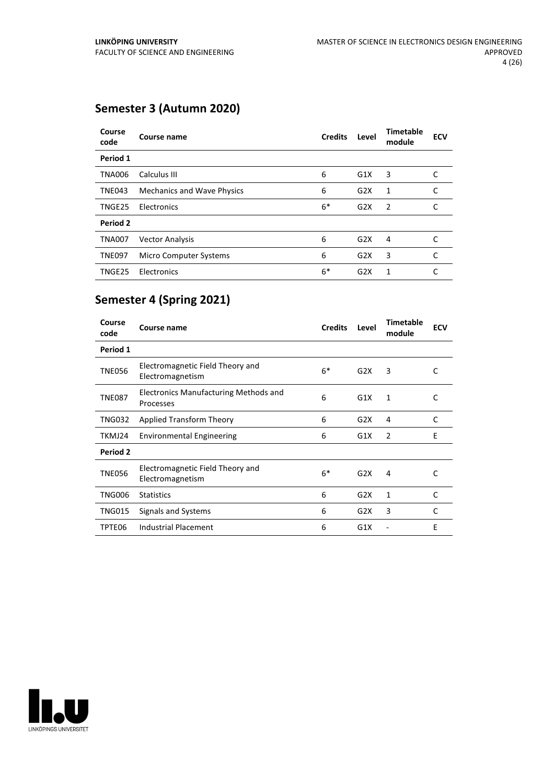## **Semester 3 (Autumn 2020)**

| Course<br>code | Course name                       | <b>Credits</b> | Level            | <b>Timetable</b><br>module | <b>ECV</b> |
|----------------|-----------------------------------|----------------|------------------|----------------------------|------------|
| Period 1       |                                   |                |                  |                            |            |
| <b>TNA006</b>  | Calculus III                      | 6              | G1X              | 3                          | C          |
| <b>TNE043</b>  | <b>Mechanics and Wave Physics</b> | 6              | G <sub>2</sub> X | 1                          | C          |
| TNGE25         | Electronics                       | $6*$           | G2X              | $\overline{2}$             | C          |
| Period 2       |                                   |                |                  |                            |            |
| <b>TNA007</b>  | <b>Vector Analysis</b>            | 6              | G2X              | 4                          | C          |
| <b>TNE097</b>  | Micro Computer Systems            | 6              | G2X              | 3                          | C          |
| TNGE25         | Electronics                       | $6*$           | G <sub>2</sub> X | 1                          | C          |

## **Semester 4 (Spring 2021)**

| Course<br>code | Course name                                               | <b>Credits</b> | Level | <b>Timetable</b><br>module | <b>ECV</b> |
|----------------|-----------------------------------------------------------|----------------|-------|----------------------------|------------|
| Period 1       |                                                           |                |       |                            |            |
| <b>TNE056</b>  | Electromagnetic Field Theory and<br>Electromagnetism      | $6*$           | G2X   | 3                          | C          |
| <b>TNE087</b>  | <b>Electronics Manufacturing Methods and</b><br>Processes | 6              | G1X   | 1                          | C          |
| TNG032         | Applied Transform Theory                                  | 6              | G2X   | 4                          | C          |
| TKMJ24         | <b>Environmental Engineering</b>                          | 6              | G1X   | 2                          | F          |
| Period 2       |                                                           |                |       |                            |            |
| <b>TNE056</b>  | Electromagnetic Field Theory and<br>Electromagnetism      | $6*$           | G2X   | 4                          | C          |
| <b>TNG006</b>  | <b>Statistics</b>                                         | 6              | G2X   | 1                          | C          |
| <b>TNG015</b>  | Signals and Systems                                       | 6              | G2X   | 3                          | C          |
| TPTE06         | Industrial Placement                                      | 6              | G1X   |                            | E          |

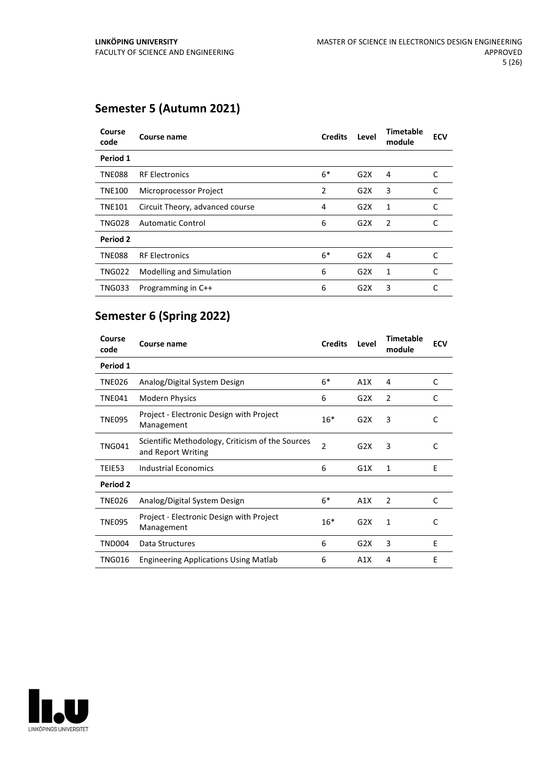## **Semester 5 (Autumn 2021)**

| Course<br>code | Course name                     | <b>Credits</b> | Level            | Timetable<br>module | <b>ECV</b> |
|----------------|---------------------------------|----------------|------------------|---------------------|------------|
| Period 1       |                                 |                |                  |                     |            |
| <b>TNE088</b>  | <b>RF Electronics</b>           | $6*$           | G2X              | 4                   | C          |
| <b>TNE100</b>  | Microprocessor Project          | 2              | G2X              | 3                   | C          |
| <b>TNE101</b>  | Circuit Theory, advanced course | 4              | G2X              | 1                   | C          |
| <b>TNG028</b>  | <b>Automatic Control</b>        | 6              | G2X              | $\overline{2}$      |            |
| Period 2       |                                 |                |                  |                     |            |
| <b>TNE088</b>  | <b>RF Electronics</b>           | $6*$           | G2X              | 4                   | C          |
| <b>TNG022</b>  | Modelling and Simulation        | 6              | G2X              | 1                   | C          |
| <b>TNG033</b>  | Programming in C++              | 6              | G <sub>2</sub> X | 3                   | C          |

## **Semester 6 (Spring 2022)**

| Course<br>code | Course name                                                            | <b>Credits</b> | Level | <b>Timetable</b><br>module | <b>ECV</b> |
|----------------|------------------------------------------------------------------------|----------------|-------|----------------------------|------------|
| Period 1       |                                                                        |                |       |                            |            |
| <b>TNE026</b>  | Analog/Digital System Design                                           | $6*$           | A1X   | 4                          | C          |
| <b>TNE041</b>  | <b>Modern Physics</b>                                                  | 6              | G2X   | 2                          | C          |
| <b>TNE095</b>  | Project - Electronic Design with Project<br>Management                 | $16*$          | G2X   | 3                          | C          |
| <b>TNG041</b>  | Scientific Methodology, Criticism of the Sources<br>and Report Writing | $\overline{2}$ | G2X   | 3                          | C          |
| TEIE53         | <b>Industrial Economics</b>                                            | 6              | G1X   | 1                          | E          |
| Period 2       |                                                                        |                |       |                            |            |
| <b>TNE026</b>  | Analog/Digital System Design                                           | $6*$           | A1X   | 2                          | C          |
| <b>TNE095</b>  | Project - Electronic Design with Project<br>Management                 | $16*$          | G2X   | 1                          | C          |
| <b>TND004</b>  | Data Structures                                                        | 6              | G2X   | 3                          | E          |
| TNG016         | <b>Engineering Applications Using Matlab</b>                           | 6              | A1X   | 4                          | E          |

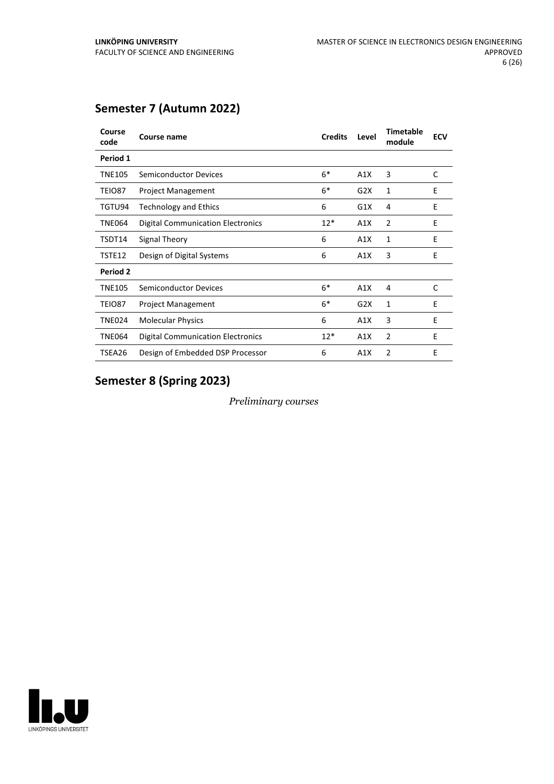## **Semester 7 (Autumn 2022)**

| Course<br>code | Course name                       | <b>Credits</b> | Level | <b>Timetable</b><br>module | <b>ECV</b> |
|----------------|-----------------------------------|----------------|-------|----------------------------|------------|
| Period 1       |                                   |                |       |                            |            |
| <b>TNE105</b>  | <b>Semiconductor Devices</b>      | $6*$           | A1X   | 3                          | C          |
| TEIO87         | <b>Project Management</b>         | $6*$           | G2X   | 1                          | E          |
| TGTU94         | <b>Technology and Ethics</b>      | 6              | G1X   | 4                          | E          |
| <b>TNE064</b>  | Digital Communication Electronics | $12*$          | A1X   | 2                          | E          |
| TSDT14         | Signal Theory                     | 6              | A1X   | 1                          | E          |
| TSTE12         | Design of Digital Systems         | 6              | A1X   | 3                          | E          |
| Period 2       |                                   |                |       |                            |            |
| <b>TNE105</b>  | <b>Semiconductor Devices</b>      | $6*$           | A1X   | 4                          | C          |
| TEIO87         | <b>Project Management</b>         | $6*$           | G2X   | $\mathbf{1}$               | E          |
| <b>TNE024</b>  | <b>Molecular Physics</b>          | 6              | A1X   | 3                          | E          |
| <b>TNE064</b>  | Digital Communication Electronics | $12*$          | A1X   | 2                          | E          |
| TSEA26         | Design of Embedded DSP Processor  | 6              | A1X   | 2                          | E          |
|                |                                   |                |       |                            |            |

## **Semester 8 (Spring 2023)**

*Preliminary courses*

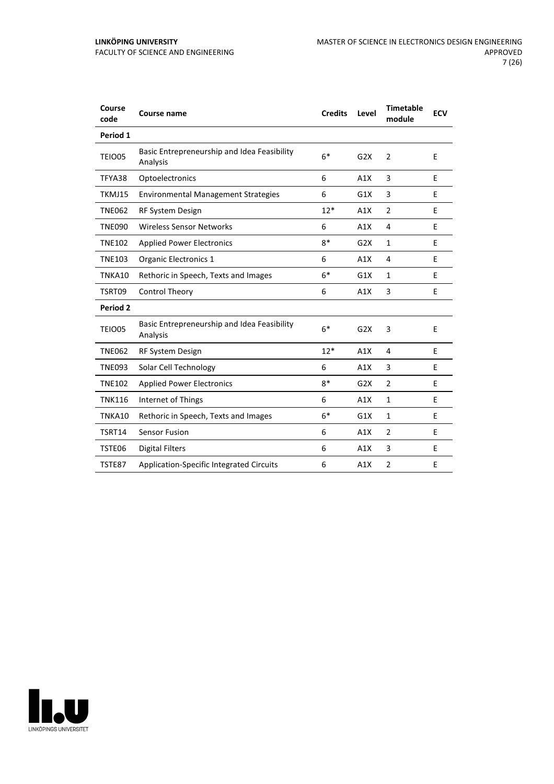| Course<br>code  | <b>Course name</b>                                      | <b>Credits</b> | Level | <b>Timetable</b><br>module | <b>ECV</b> |
|-----------------|---------------------------------------------------------|----------------|-------|----------------------------|------------|
| Period 1        |                                                         |                |       |                            |            |
| TEIO05          | Basic Entrepreneurship and Idea Feasibility<br>Analysis | $6*$           | G2X   | $\overline{2}$             | E          |
| TFYA38          | Optoelectronics                                         | 6              | A1X   | 3                          | E          |
| TKMJ15          | <b>Environmental Management Strategies</b>              | 6              | G1X   | 3                          | E          |
| <b>TNE062</b>   | RF System Design                                        | $12*$          | A1X   | $\overline{2}$             | E          |
| <b>TNE090</b>   | Wireless Sensor Networks                                | 6              | A1X   | 4                          | E          |
| <b>TNE102</b>   | <b>Applied Power Electronics</b>                        | $8*$           | G2X   | $\mathbf{1}$               | E          |
| <b>TNE103</b>   | Organic Electronics 1                                   | 6              | A1X   | 4                          | E          |
| TNKA10          | Rethoric in Speech, Texts and Images                    | $6*$           | G1X   | $\mathbf{1}$               | E          |
| TSRT09          | Control Theory                                          | 6              | A1X   | 3                          | E          |
| <b>Period 2</b> |                                                         |                |       |                            |            |
| TEIO05          | Basic Entrepreneurship and Idea Feasibility<br>Analysis | $6*$           | G2X   | 3                          | E          |
| <b>TNE062</b>   | <b>RF System Design</b>                                 | $12*$          | A1X   | 4                          | E          |
| <b>TNE093</b>   | Solar Cell Technology                                   | 6              | A1X   | 3                          | E          |
| <b>TNE102</b>   | <b>Applied Power Electronics</b>                        | $8*$           | G2X   | $\overline{2}$             | Ε          |
| <b>TNK116</b>   | Internet of Things                                      | 6              | A1X   | $\mathbf{1}$               | E          |
| TNKA10          | Rethoric in Speech, Texts and Images                    | $6*$           | G1X   | $\mathbf{1}$               | Ε          |
| TSRT14          | <b>Sensor Fusion</b>                                    | 6              | A1X   | $\overline{2}$             | E          |
| TSTE06          | <b>Digital Filters</b>                                  | 6              | A1X   | 3                          | Е          |
| TSTE87          | Application-Specific Integrated Circuits                | 6              | A1X   | $\overline{2}$             | E          |

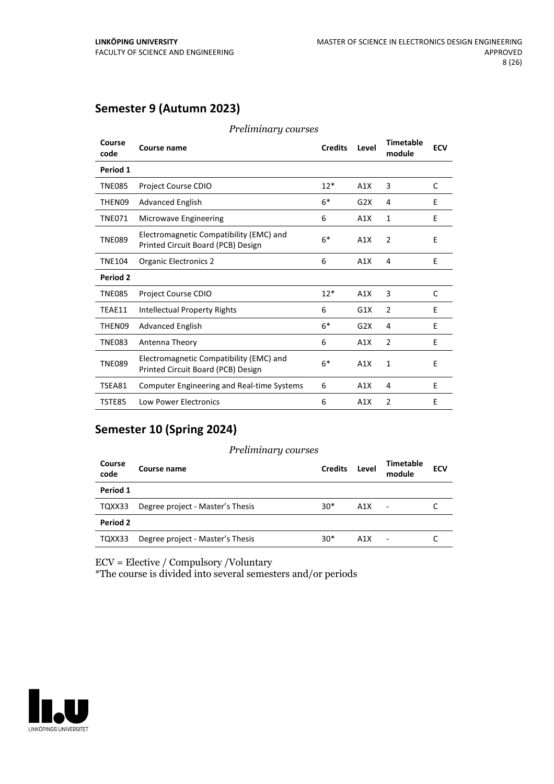## **Semester 9 (Autumn 2023)**

| Course<br>code | Course name                                                                   | <b>Credits</b> | Level | <b>Timetable</b><br>module | <b>ECV</b> |
|----------------|-------------------------------------------------------------------------------|----------------|-------|----------------------------|------------|
| Period 1       |                                                                               |                |       |                            |            |
| <b>TNE085</b>  | Project Course CDIO                                                           | $12*$          | A1X   | 3                          | C          |
| THEN09         | <b>Advanced English</b>                                                       | $6*$           | G2X   | 4                          | E          |
| <b>TNE071</b>  | Microwave Engineering                                                         | 6              | A1X   | $\mathbf{1}$               | E          |
| <b>TNE089</b>  | Electromagnetic Compatibility (EMC) and<br>Printed Circuit Board (PCB) Design | $6*$           | A1X   | $\overline{2}$             | E          |
| <b>TNE104</b>  | <b>Organic Electronics 2</b>                                                  | 6              | A1X   | 4                          | E          |
| Period 2       |                                                                               |                |       |                            |            |
| <b>TNE085</b>  | <b>Project Course CDIO</b>                                                    | $12*$          | A1X   | 3                          | C          |
| TEAE11         | Intellectual Property Rights                                                  | 6              | G1X   | $\overline{2}$             | E          |
| THEN09         | <b>Advanced English</b>                                                       | $6*$           | G2X   | 4                          | E          |
| <b>TNE083</b>  | Antenna Theory                                                                | 6              | A1X   | $\overline{2}$             | E          |
| <b>TNE089</b>  | Electromagnetic Compatibility (EMC) and<br>Printed Circuit Board (PCB) Design | $6*$           | A1X   | 1                          | E          |
| TSEA81         | <b>Computer Engineering and Real-time Systems</b>                             | 6              | A1X   | 4                          | E          |
| TSTE85         | <b>Low Power Electronics</b>                                                  | 6              | A1X   | $\overline{2}$             | E          |

*Preliminary courses*

## **Semester 10 (Spring 2024)**

#### *Preliminary courses*

| Course<br>code | Course name                      | <b>Credits</b> | Level            | Timetable<br>module | <b>ECV</b> |
|----------------|----------------------------------|----------------|------------------|---------------------|------------|
| Period 1       |                                  |                |                  |                     |            |
| TQXX33         | Degree project - Master's Thesis | $30*$          | A1X              | $\blacksquare$      |            |
| Period 2       |                                  |                |                  |                     |            |
| TQXX33         | Degree project - Master's Thesis | $30*$          | A <sub>1</sub> X |                     |            |

ECV = Elective / Compulsory /Voluntary

\*The course is divided into several semesters and/or periods

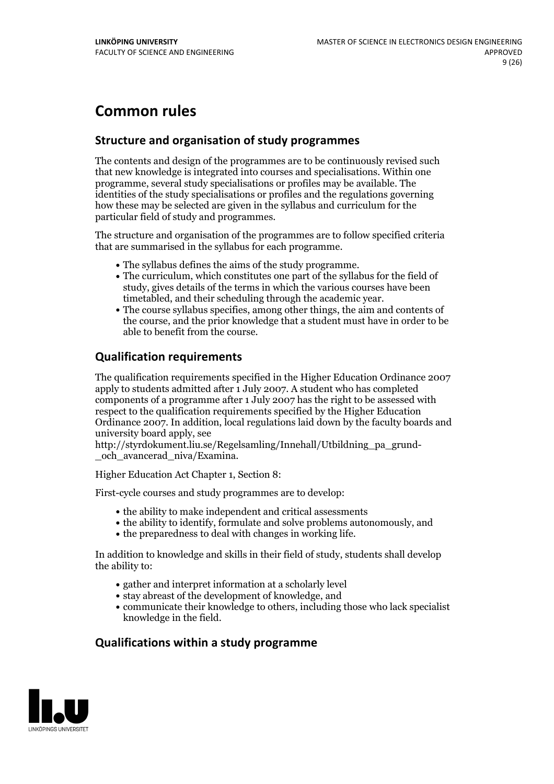## **Common rules**

## **Structure and organisation of study programmes**

The contents and design of the programmes are to be continuously revised such that new knowledge is integrated into courses and specialisations. Within one programme, several study specialisations or profiles may be available. The identities of the study specialisations or profiles and the regulations governing how these may be selected are given in the syllabus and curriculum for the particular field of study and programmes.

The structure and organisation of the programmes are to follow specified criteria that are summarised in the syllabus for each programme.

- 
- The syllabus defines the aims of the study programme.<br>• The curriculum, which constitutes one part of the syllabus for the field of study, gives details of the terms in which the various courses have been
- The course syllabus specifies, among other things, the aim and contents of the course, and the prior knowledge that a student must have in order to be able to benefit from the course.

## **Qualification requirements**

The qualification requirements specified in the Higher Education Ordinance 2007 apply to students admitted after 1 July 2007. A student who has completed components of a programme after 1 July 2007 has the right to be assessed with respect to the qualification requirements specified by the Higher Education Ordinance 2007. In addition, local regulations laid down by the faculty boards and university board apply, see

http://styrdokument.liu.se/Regelsamling/Innehall/Utbildning\_pa\_grund- \_och\_avancerad\_niva/Examina.

Higher Education Act Chapter 1, Section 8:

First-cycle courses and study programmes are to develop:

- $\bullet$  the ability to make independent and critical assessments
- the ability to identify, formulate and solve problems autonomously, and
- $\bullet$  the preparedness to deal with changes in working life.

In addition to knowledge and skills in their field of study, students shall develop the ability to:

- gather and interpret information at a scholarly level
- stay abreast of the development of knowledge, and
- communicate their knowledge to others, including those who lack specialist knowledge in the field.

## **Qualifications within a study programme**

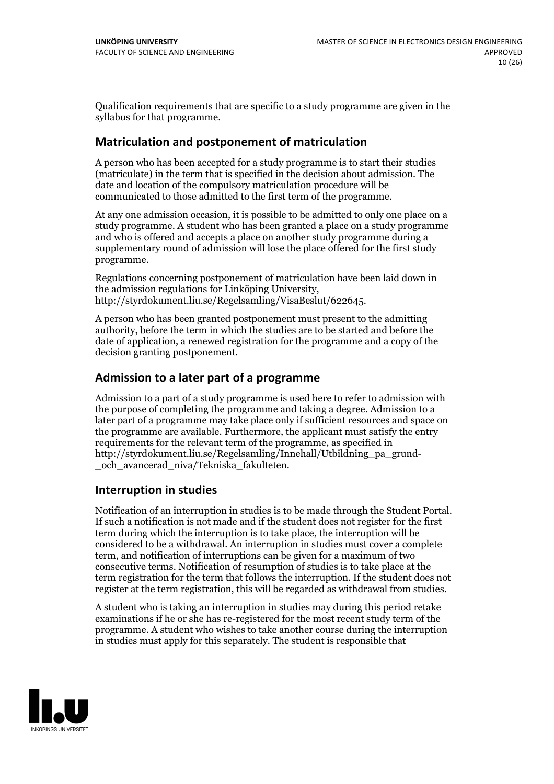Qualification requirements that are specific to a study programme are given in the syllabus for that programme.

#### **Matriculation and postponement of matriculation**

A person who has been accepted for a study programme is to start their studies (matriculate) in the term that is specified in the decision about admission. The date and location of the compulsory matriculation procedure will be communicated to those admitted to the first term of the programme.

At any one admission occasion, it is possible to be admitted to only one place on a study programme. A student who has been granted a place on a study programme and who is offered and accepts a place on another study programme during a supplementary round of admission will lose the place offered for the first study programme.

Regulations concerning postponement of matriculation have been laid down in the admission regulations for Linköping University, http://styrdokument.liu.se/Regelsamling/VisaBeslut/622645.

A person who has been granted postponement must present to the admitting authority, before the term in which the studies are to be started and before the date of application, a renewed registration for the programme and a copy of the decision granting postponement.

#### **Admission to a later part of a programme**

Admission to a part of a study programme is used here to refer to admission with the purpose of completing the programme and taking a degree. Admission to a later part of a programme may take place only if sufficient resources and space on the programme are available. Furthermore, the applicant must satisfy the entry requirements for the relevant term of the programme, as specified in http://styrdokument.liu.se/Regelsamling/Innehall/Utbildning\_pa\_grund- \_och\_avancerad\_niva/Tekniska\_fakulteten.

#### **Interruption in studies**

Notification of an interruption in studies is to be made through the Student Portal. If such <sup>a</sup> notification is not made and if the student does not register for the first term during which the interruption is to take place, the interruption will be considered to be a withdrawal. An interruption in studies must cover a complete term, and notification of interruptions can be given for a maximum of two consecutive terms. Notification of resumption of studies is to take place at the term registration for the term that follows the interruption. If the student does not register at the term registration, this will be regarded as withdrawal from studies.

A student who is taking an interruption in studies may during this period retake examinations if he or she has re-registered for the most recent study term of the programme. A student who wishes to take another course during the interruption in studies must apply for this separately. The student is responsible that

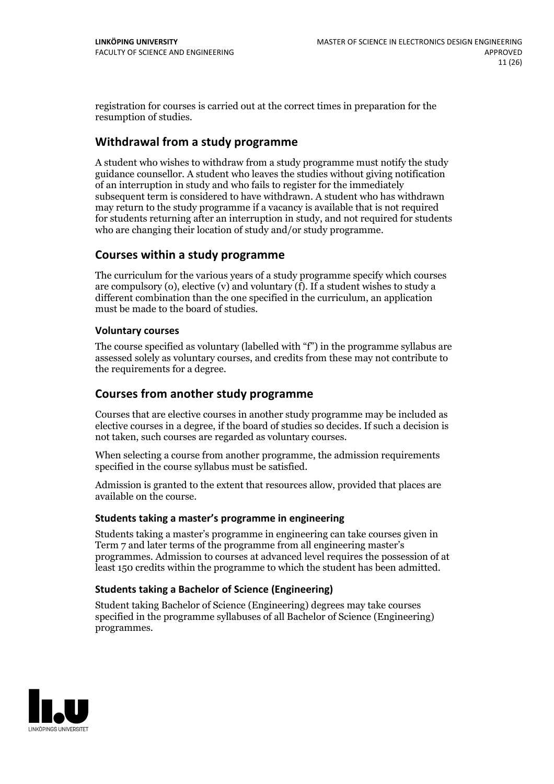registration for courses is carried outat the correct times in preparation for the resumption of studies.

### **Withdrawal from a study programme**

A student who wishes to withdraw from a study programme must notify the study guidance counsellor. A student who leaves the studies without giving notification of an interruption in study and who fails to register for the immediately subsequent term is considered to have withdrawn. A student who has withdrawn may return to the study programme if a vacancy is available that is not required for students returning after an interruption in study, and not required for students who are changing their location of study and/or study programme.

#### **Courses within a study programme**

The curriculum for the various years of a study programme specify which courses are compulsory (o), elective (v) and voluntary (f). If a student wishes to study a different combination than the one specified in the curriculum, an application must be made to the board of studies.

#### **Voluntarycourses**

The course specified as voluntary (labelled with "f") in the programme syllabus are assessed solely as voluntary courses, and credits from these may not contribute to the requirements for a degree.

#### **Courses from another study programme**

Courses that are elective courses in another study programme may be included as elective courses in a degree, if the board of studies so decides. If such a decision is not taken, such courses are regarded as voluntary courses.

When selecting a course from another programme, the admission requirements specified in the course syllabus must be satisfied.

Admission is granted to the extent that resources allow, provided that places are available on the course.

#### **Students taking a master's programme in engineering**

Students taking a master's programme in engineering can take courses given in Term 7 and later terms of the programme from all engineering master's programmes. Admission to courses at advanced level requires the possession of at least 150 credits within the programme to which the student has been admitted.

#### **Students taking a Bachelor of Science (Engineering)**

Student taking Bachelor of Science (Engineering) degrees may take courses specified in the programme syllabuses of all Bachelor of Science (Engineering) programmes.

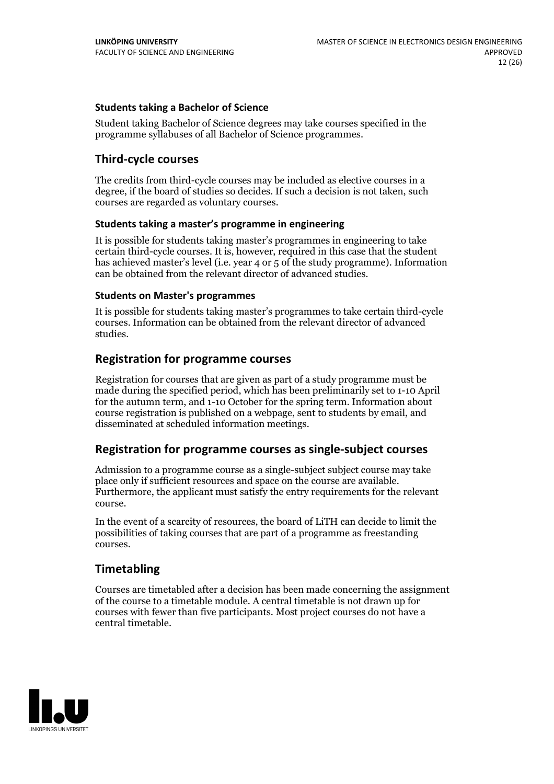#### **Students taking a Bachelor of Science**

Student taking Bachelor of Science degrees may take courses specified in the programme syllabuses of all Bachelor of Science programmes.

#### **Third-cycle courses**

The credits from third-cycle courses may be included as elective courses in a degree, if the board of studies so decides. If such a decision is not taken, such courses are regarded as voluntary courses.

#### **Students taking a master's programme in engineering**

It is possible for students taking master's programmes in engineering to take certain third-cycle courses. It is, however, required in this case that the student has achieved master's level (i.e. year 4 or 5 of the study programme). Information can be obtained from the relevant director of advanced studies.

#### **Students on Master's programmes**

It is possible for students taking master's programmes to take certain third-cycle courses. Information can be obtained from the relevant director of advanced studies.

#### **Registration for programme courses**

Registration for courses that are given as part of a study programme must be made during the specified period, which has been preliminarily set to 1-10 April for the autumn term, and 1-10 October for the spring term. Information about course registration is published on a webpage, sent to students by email, and disseminated at scheduled information meetings.

#### **Registration for programme courses as single-subject courses**

Admission to a programme course as a single-subject subject course may take place only if sufficient resources and space on the course are available. Furthermore, the applicant must satisfy the entry requirements for the relevant course.

In the event of a scarcity of resources, the board of LiTH can decide to limit the possibilities of taking courses that are part of a programme as freestanding courses.

#### **Timetabling**

Courses are timetabled after a decision has been made concerning the assignment of the course to a timetable module. A central timetable is not drawn up for courses with fewer than five participants. Most project courses do not have a central timetable.

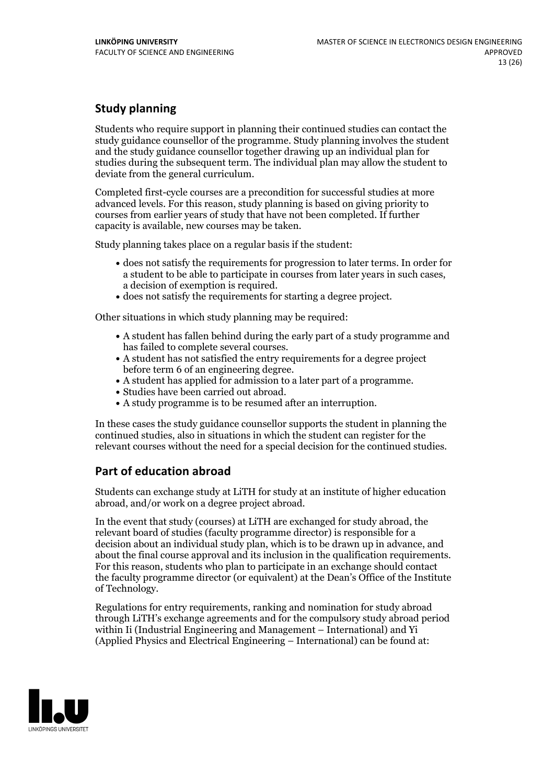## **Study planning**

Students who require support in planning their continued studies can contact the study guidance counsellor of the programme. Study planning involves the student and the study guidance counsellor together drawing up an individual plan for studies during the subsequent term. The individual plan may allow the student to deviate from the general curriculum.

Completed first-cycle courses are a precondition for successful studies at more advanced levels. For this reason, study planning is based on giving priority to courses from earlier years of study that have not been completed. If further capacity is available, new courses may be taken.

Study planning takes place on a regular basis if the student:

- does not satisfy the requirements for progression to later terms. In order for a student to be able to participate in courses from later years in such cases, a decision of exemption is required.<br>
• does not satisfy the requirements for starting a degree project.
- 

Other situations in which study planning may be required:

- A student has fallen behind during the early part of a study programme and has failed to complete several courses.<br>• A student has not satisfied the entry requirements for a degree project
- 
- before term 6 of an engineering degree.<br>• A student has applied for admission to a later part of a programme.<br>• Studies have been carried out abroad.<br>• A study programme is to be resumed after an interruption.
- 
- 

In these cases the study guidance counsellor supports the student in planning the continued studies, also in situations in which the student can register for the relevant courses without the need for a special decision for the continued studies.

## **Part of education abroad**

Students can exchange study at LiTH for study at an institute of higher education abroad, and/or work on a degree project abroad.

In the event that study (courses) at LiTH are exchanged for study abroad, the relevant board of studies (faculty programme director) is responsible for a decision about an individual study plan, which is to be drawn up in advance, and about the final course approval and its inclusion in the qualification requirements. For this reason, students who plan to participate in an exchange should contact the faculty programme director (or equivalent) at the Dean's Office ofthe Institute of Technology.

Regulations for entry requirements, ranking and nomination for study abroad through LiTH's exchange agreements and for the compulsory study abroad period within Ii (Industrial Engineering and Management – International) and Yi (Applied Physics and Electrical Engineering – International) can be found at:

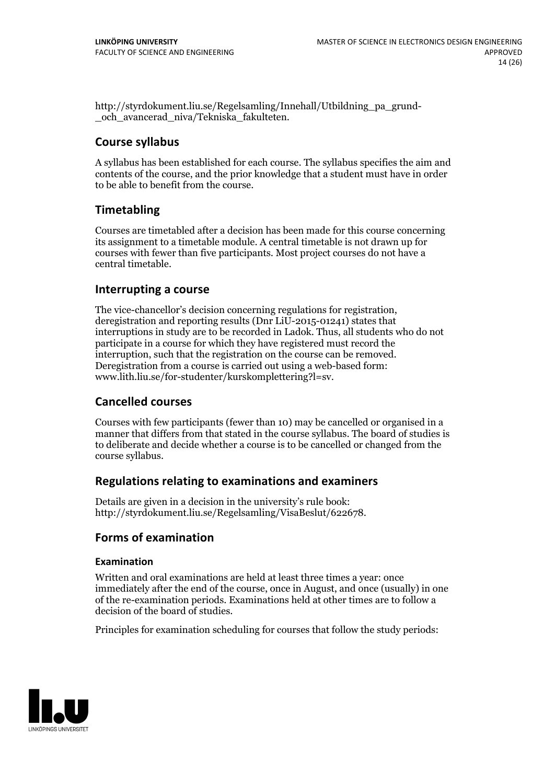http://styrdokument.liu.se/Regelsamling/Innehall/Utbildning\_pa\_grund- \_och\_avancerad\_niva/Tekniska\_fakulteten.

#### **Course syllabus**

A syllabus has been established for each course. The syllabus specifies the aim and contents of the course, and the prior knowledge that a student must have in order to be able to benefit from the course.

## **Timetabling**

Courses are timetabled after a decision has been made for this course concerning its assignment to a timetable module. A central timetable is not drawn up for courses with fewer than five participants. Most project courses do not have a central timetable.

#### **Interrupting a course**

The vice-chancellor's decision concerning regulations for registration, deregistration and reporting results (Dnr LiU-2015-01241) states that interruptions in study are to be recorded in Ladok. Thus, all students who do not participate in a course for which they have registered must record the interruption, such that the registration on the course can be removed. Deregistration from <sup>a</sup> course is carried outusing <sup>a</sup> web-based form: www.lith.liu.se/for-studenter/kurskomplettering?l=sv.

#### **Cancelled courses**

Courses with few participants (fewer than 10) may be cancelled or organised in a manner that differs from that stated in the course syllabus. The board of studies is to deliberate and decide whether a course is to be cancelled orchanged from the course syllabus.

#### **Regulations relatingto examinations and examiners**

Details are given in a decision in the university's rule book: http://styrdokument.liu.se/Regelsamling/VisaBeslut/622678.

## **Forms of examination**

#### **Examination**

Written and oral examinations are held at least three times a year: once immediately after the end of the course, once in August, and once (usually) in one of the re-examination periods. Examinations held at other times are to follow a decision of the board of studies.

Principles for examination scheduling for courses that follow the study periods:

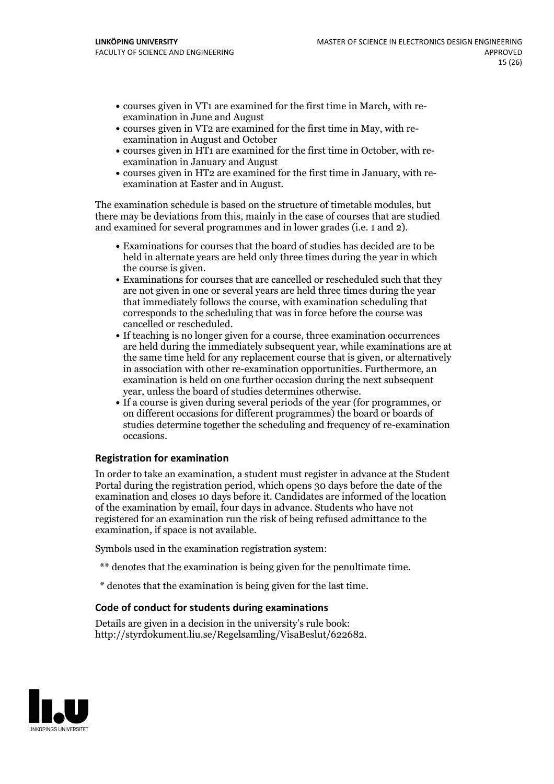- courses given in VT1 are examined for the first time in March, with re-examination in June and August
- courses given in VT2 are examined for the first time in May, with re-examination in August and October
- courses given in HT1 are examined for the first time in October, with re-examination in January and August
- courses given in HT2 are examined for the first time in January, with re-examination at Easter and in August.

The examination schedule is based on the structure of timetable modules, but there may be deviations from this, mainly in the case of courses that are studied and examined for several programmes and in lower grades (i.e. 1 and 2).

- Examinations for courses that the board of studies has decided are to be held in alternate years are held only three times during the year in which the course is given.<br>• Examinations for courses that are cancelled or rescheduled such that they
- are not given in one or several years are held three times during the year that immediately follows the course, with examination scheduling that corresponds to the scheduling that was in force before the course was cancelled or rescheduled.<br>• If teaching is no longer given for a course, three examination occurrences
- are held during the immediately subsequent year, while examinations are at the same time held for any replacement course that is given, or alternatively in association with other re-examination opportunities. Furthermore, an examination is held on one further occasion during the next subsequent
- year, unless the board of studies determines otherwise.<br>If a course is given during several periods of the year (for programmes, or on different occasions for different programmes) the board orboards of studies determine together the scheduling and frequency of re-examination occasions.

#### **Registration for examination**

In order to take an examination, a student must register in advance at the Student Portal during the registration period, which opens 30 days before the date of the examination and closes 10 days before it. Candidates are informed of the location of the examination by email, four days in advance. Students who have not registered for an examination run the risk of being refused admittance to the examination, if space is not available.

Symbols used in the examination registration system:

- \*\* denotes that the examination is being given for the penultimate time.
- \* denotes that the examination is being given for the last time.

#### **Code of conduct for students during examinations**

Details are given in a decision in the university's rule book: http://styrdokument.liu.se/Regelsamling/VisaBeslut/622682.

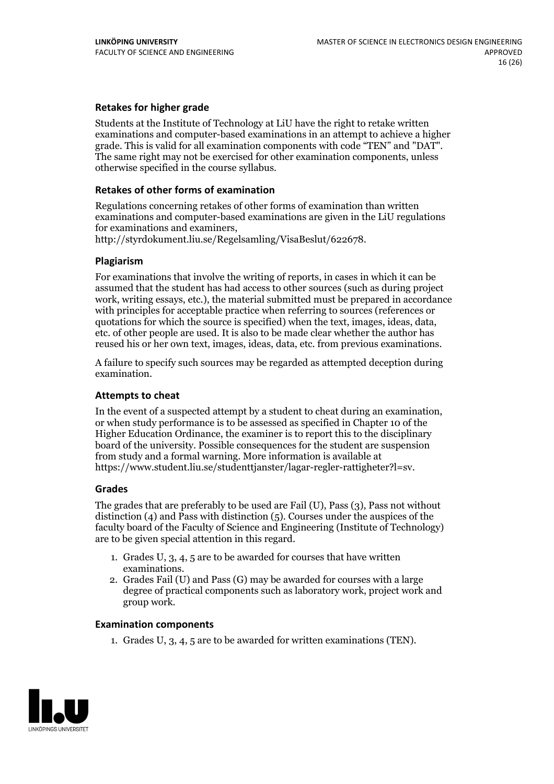#### **Retakes for higher grade**

Students at the Institute of Technology at LiU have the right to retake written examinations and computer-based examinations in an attempt to achieve a higher grade. This is valid for all examination components with code "TEN" and "DAT". The same right may not be exercised for other examination components, unless otherwise specified in the course syllabus.

#### **Retakes of other forms of examination**

Regulations concerning retakes of other forms of examination than written examinations and computer-based examinations are given in the LiU regulations

http://styrdokument.liu.se/Regelsamling/VisaBeslut/622678.

#### **Plagiarism**

For examinations that involve the writing of reports, in cases in which it can be assumed that the student has had access to other sources (such as during project work, writing essays, etc.), the material submitted must be prepared in accordance with principles for acceptable practice when referring to sources (references or quotations for which the source is specified) when the text, images, ideas, data, etc. of other people are used. It is also to be made clear whether the author has reused his or her own text, images, ideas, data, etc. from previous examinations.

A failure to specify such sources may be regarded as attempted deception during examination.

#### **Attempts to cheat**

In the event of <sup>a</sup> suspected attempt by <sup>a</sup> student to cheat during an examination, or when study performance is to be assessed as specified in Chapter <sup>10</sup> of the Higher Education Ordinance, the examiner is to report this to the disciplinary board of the university. Possible consequences for the student are suspension from study and a formal warning. More information is available at https://www.student.liu.se/studenttjanster/lagar-regler-rattigheter?l=sv.

#### **Grades**

The grades that are preferably to be used are Fail (U), Pass (3), Pass not without distinction  $(4)$  and Pass with distinction  $(5)$ . Courses under the auspices of the faculty board of the Faculty of Science and Engineering (Institute of Technology) are to be given special attention in this regard.

- 1. Grades U, 3, 4, 5 are to be awarded for courses that have written
- examinations. 2. Grades Fail (U) and Pass (G) may be awarded for courses with <sup>a</sup> large degree of practical components such as laboratory work, project work and group work.

#### **Examination components**

1. Grades U, 3, 4, 5 are to be awarded for written examinations (TEN).

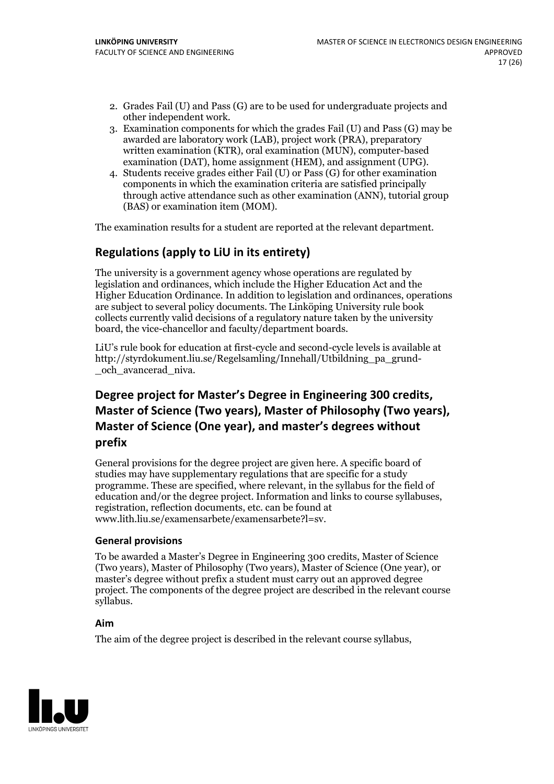- 2. Grades Fail (U) and Pass (G) are to be used for undergraduate projects and other independent work. 3. Examination components for which the grades Fail (U) and Pass (G) may be
- awarded are laboratory work (LAB), project work (PRA), preparatory written examination (KTR), oral examination (MUN), computer-based examination (DAT), home assignment (HEM), and assignment (UPG). 4. Students receive grades either Fail (U) or Pass (G) for other examination
- components in which the examination criteria are satisfied principally through active attendance such as other examination (ANN), tutorial group (BAS) or examination item (MOM).

The examination results for a student are reported at the relevant department.

## **Regulations (applyto LiU in its entirety)**

The university is a government agency whose operations are regulated by legislation and ordinances, which include the Higher Education Act and the Higher Education Ordinance. In addition to legislation and ordinances, operations are subject to several policy documents. The Linköping University rule book collects currently valid decisions of a regulatory nature taken by the university board, the vice-chancellor and faculty/department boards.

LiU's rule book for education at first-cycle and second-cycle levels is available at http://styrdokument.liu.se/Regelsamling/Innehall/Utbildning\_pa\_grund- \_och\_avancerad\_niva.

## **Degree project for Master's Degree in Engineering 300 credits, Master** of Science (Two years), Master of Philosophy (Two years), **Master ofScience (One year), and master's degrees without prefix**

General provisions for the degree project are given here. A specific board of studies may have supplementary regulations that are specific for a study programme. These are specified, where relevant, in the syllabus for the field of education and/or the degree project. Information and links to course syllabuses, registration, reflection documents, etc. can be found at www.lith.liu.se/examensarbete/examensarbete?l=sv.

#### **General provisions**

To be awarded a Master's Degree in Engineering 300 credits, Master of Science (Two years), Master of Philosophy (Two years), Master of Science (One year), or master's degree without prefix a student must carry out an approved degree project. The components of the degree project are described in the relevant course syllabus.

#### **Aim**

The aim of the degree project is described in the relevant course syllabus,

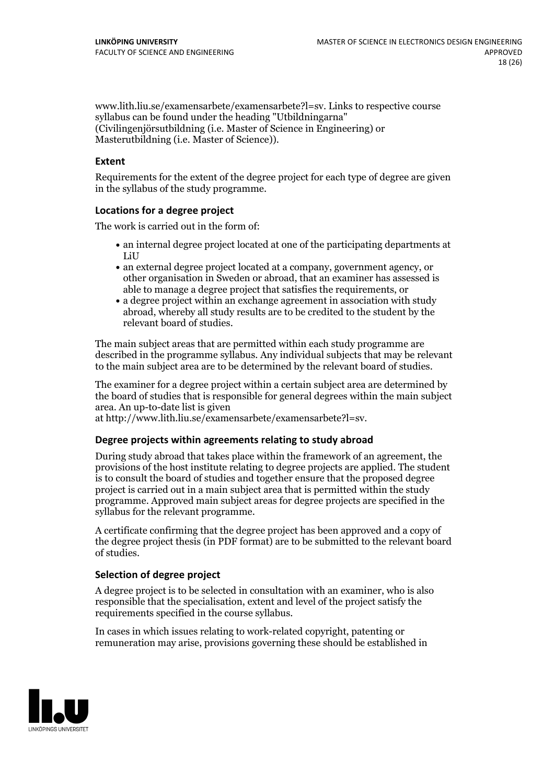www.lith.liu.se/examensarbete/examensarbete?l=sv. Links to respective course syllabus can be found under the heading "Utbildningarna" (Civilingenjörsutbildning (i.e. Master of Science in Engineering) or Masterutbildning (i.e. Master of Science)).

#### **Extent**

Requirements for the extent of the degree project for each type of degree are given in the syllabus of the study programme.

#### **Locations for a degree project**

The work is carried out in the form of:

- an internal degree project located at one of the participating departments at LiU
- an external degree project located at a company, government agency, or other organisation in Sweden or abroad, that an examiner has assessed is able to manage a degree project that satisfies the requirements, or
- a degree project within an exchange agreement in association with study abroad, whereby all study results are to be credited to the student by the relevant board of studies.

The main subject areas that are permitted within each study programme are described in the programme syllabus. Any individual subjects that may be relevant to the main subject area are to be determined by the relevant board of studies.

The examiner for a degree project within a certain subject area are determined by the board of studies that is responsible for general degrees within the main subject area. An up-to-date list is given

at http://www.lith.liu.se/examensarbete/examensarbete?l=sv.

#### **Degree projects within agreements relatingto study abroad**

During study abroad that takes place within the framework of an agreement, the provisions of the host institute relating to degree projects are applied. The student is to consult the board of studies and together ensure that the proposed degree project is carried out in a main subject area that is permitted within the study programme. Approved main subject areas for degree projects are specified in the syllabus for the relevant programme.

A certificate confirming that the degree project has been approved and a copy of the degree project thesis (in PDF format) are to be submitted to the relevant board of studies.

#### **Selection of degree project**

A degree project is to be selected in consultation with an examiner, who is also responsible that the specialisation, extent and level of the project satisfy the requirements specified in the course syllabus.

In cases in which issues relating to work-related copyright, patenting or remuneration may arise, provisions governing these should be established in

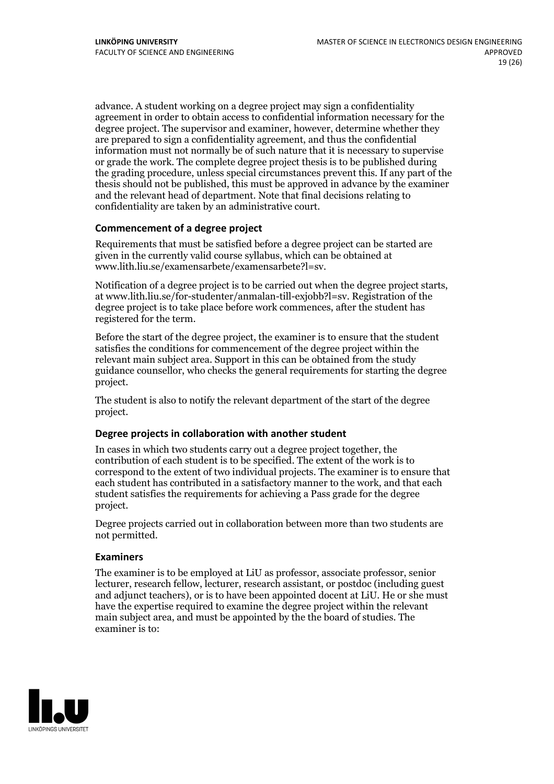advance. A student working on a degree project may sign a confidentiality agreement in order to obtain access to confidential information necessary for the degree project. The supervisor and examiner, however, determine whether they are prepared to sign a confidentiality agreement, and thus the confidential information must not normally be of such nature that it is necessary to supervise or grade the work. The complete degree project thesis is to be published during the grading procedure, unless special circumstances prevent this. If any part of the thesis should not be published, this must be approved in advance by the examiner and the relevant head of department. Note that final decisions relating to confidentiality are taken by an administrative court.

#### **Commencement of a degree project**

Requirements that must be satisfied before a degree project can be started are given in the currently valid course syllabus, which can be obtained at www.lith.liu.se/examensarbete/examensarbete?l=sv.

Notification of <sup>a</sup> degree project is to be carried outwhen the degree project starts, at www.lith.liu.se/for-studenter/anmalan-till-exjobb?l=sv. Registration of the degree project is to take place before work commences, after the student has registered for the term.

Before the start of the degree project, the examiner is to ensure that the student satisfies the conditions for commencement of the degree project within the relevant main subject area. Support in this can be obtained from the study guidance counsellor, who checks the general requirements for starting the degree project.

The student is also to notify the relevant department of the start of the degree project.

#### **Degree projects in collaboration with another student**

In cases in which two students carry out a degree project together, the contribution of each student is to be specified. The extent of the work is to correspond to the extent of two individual projects. The examiner is to ensure that each student has contributed in a satisfactory manner to the work, and that each student satisfies the requirements for achieving a Pass grade for the degree project.

Degree projects carried out in collaboration between more than two students are not permitted.

#### **Examiners**

The examiner is to be employed at LiU as professor, associate professor, senior lecturer, research fellow, lecturer, research assistant, or postdoc (including guest and adjunct teachers), or is to have been appointed docent at LiU. He or she must have the expertise required to examine the degree project within the relevant main subject area, and must be appointed by the the board of studies. The examiner is to:

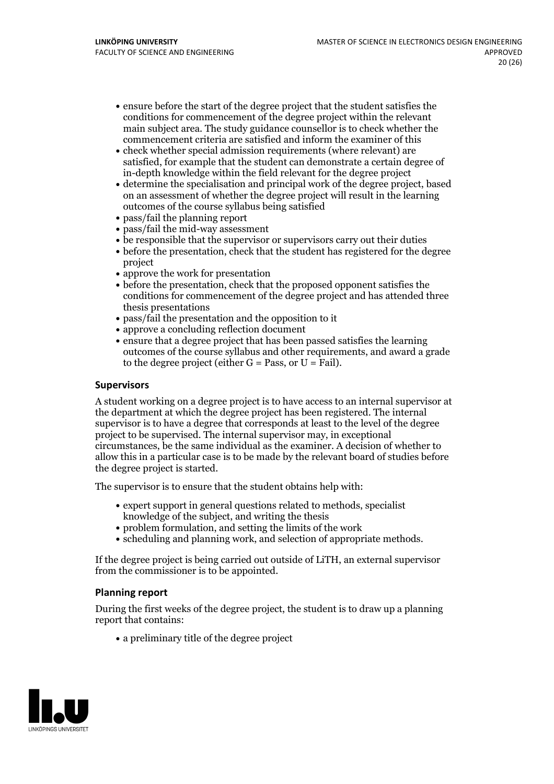- ensure before the start of the degree project that the student satisfies the conditions for commencement of the degree project within the relevant main subject area. The study guidance counsellor is to check whether the commencement criteria are satisfied and inform the examiner of this
- check whether special admission requirements (where relevant) are satisfied, for example that the student can demonstrate a certain degree of in-depth knowledge within the field relevant for the degree project
- determine the specialisation and principal work of the degree project, based on an assessment of whether the degree project will result in the learning outcomes of the course syllabus being satisfied
- pass/fail the planning report
- pass/fail the mid-way assessment
- be responsible that the supervisor or supervisors carry out their duties
- before the presentation, check that the student has registered for the degree project
- approve the work for presentation
- before the presentation, check that the proposed opponent satisfies the conditions for commencement of the degree project and has attended three thesis presentations
- pass/fail the presentation and the opposition to it
- approve a concluding reflection document
- ensure that a degree project that has been passed satisfies the learning outcomes of the course syllabus and other requirements, and award a grade to the degree project (either  $G = Pass$ , or  $U = Fail$ ).

#### **Supervisors**

A student working on a degree project is to have access to an internal supervisor at the department at which the degree project has been registered. The internal supervisor is to have a degree that corresponds at least to the level of the degree project to be supervised. The internal supervisor may, in exceptional circumstances, be the same individual as the examiner. A decision of whether to allow this in a particular case is to be made by the relevant board of studies before the degree project is started.

The supervisor is to ensure that the student obtains help with:

- expert support in general questions related to methods, specialist knowledge of the subject, and writing the thesis
- problem formulation, and setting the limits of the work
- scheduling and planning work, and selection of appropriate methods.

If the degree project is being carried out outside of LiTH, an external supervisor from the commissioner is to be appointed.

#### **Planning report**

During the first weeks of the degree project, the student is to draw up a planning report that contains:

 $\bullet$  a preliminary title of the degree project

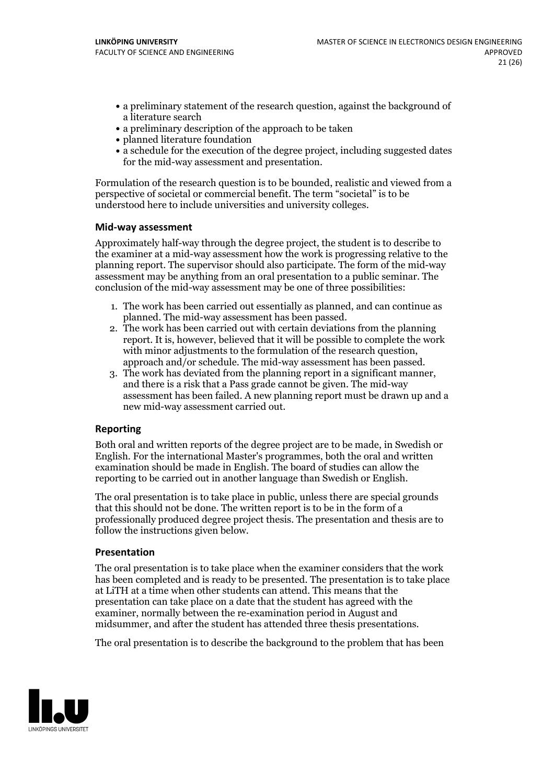- a preliminary statement of the research question, against the background of a literature search
- a preliminary description of the approach to be taken
- planned literature foundation
- a schedule for the execution of the degree project, including suggested dates for the mid-way assessment and presentation.

Formulation of the research question is to be bounded, realistic and viewed from a perspective of societal or commercial benefit. The term "societal" is to be understood here to include universities and university colleges.

#### **Mid-way assessment**

Approximately half-way through the degree project, the student is to describe to the examiner at a mid-way assessment how the work is progressing relative to the planning report. The supervisor should also participate. The form of the mid-way assessment may be anything from an oral presentation to a public seminar. The conclusion of the mid-way assessment may be one of three possibilities:

- 1. The work has been carried outessentially as planned, and can continue as planned. The mid-way assessment has been passed. 2. The work has been carried outwith certain deviations from the planning
- report. It is, however, believed that it will be possible to complete the work
- approach and/or schedule. The mid-way assessment has been passed.<br>3. The work has deviated from the planning report in a significant manner, and there is a risk that a Pass grade cannot be given. The mid-way assessment has been failed. A new planning report must be drawn up and a new mid-way assessment carried out.

#### **Reporting**

Both oral and written reports of the degree project are to be made, in Swedish or English. For the international Master's programmes, both the oral and written examination should be made in English. The board of studies can allow the reporting to be carried out in another language than Swedish or English.

The oral presentation is to take place in public, unless there are special grounds that this should not be done. The written report is to be in the form of a professionally produced degree project thesis. The presentation and thesis are to follow the instructions given below.

#### **Presentation**

The oral presentation is to take place when the examiner considers that the work has been completed and is ready to be presented. The presentation is to take place at LiTH at a time when other students can attend. This means that the presentation can take place on a date that the student has agreed with the examiner, normally between the re-examination period in August and midsummer, and after the student has attended three thesis presentations.

The oral presentation is to describe the background to the problem that has been

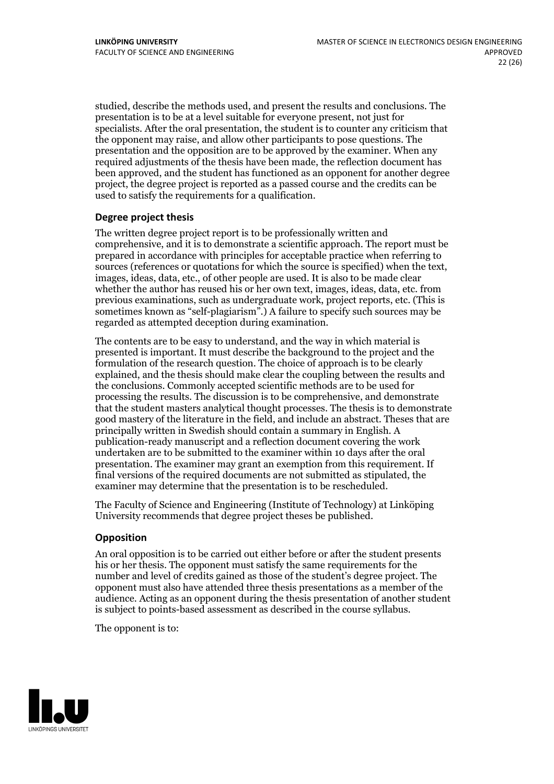studied, describe the methods used, and present the results and conclusions. The presentation is to be at a level suitable for everyone present, not just for specialists. After the oral presentation, the student is to counter any criticism that the opponent may raise, and allow other participants to pose questions. The presentation and the opposition are to be approved by the examiner. When any required adjustments of the thesis have been made, the reflection document has been approved, and the student has functioned as an opponent for another degree project, the degree project is reported as a passed course and the credits can be used to satisfy the requirements for a qualification.

#### **Degree project thesis**

The written degree project report is to be professionally written and comprehensive, and it is to demonstrate a scientific approach. The report must be prepared in accordance with principles for acceptable practice when referring to sources (references or quotations for which the source is specified) when the text, images, ideas, data, etc., of other people are used. It is also to be made clear whether the author has reused his or her own text, images, ideas, data, etc. from previous examinations, such asundergraduate work, project reports, etc. (This is sometimes known as"self-plagiarism".) A failure to specify such sources may be regarded as attempted deception during examination.

The contents are to be easy to understand, and the way in which material is presented is important. It must describe the background to the project and the formulation of the research question. The choice of approach is to be clearly explained, and the thesis should make clear the coupling between the results and the conclusions. Commonly accepted scientific methods are to be used for processing the results. The discussion is to be comprehensive, and demonstrate that the student masters analytical thought processes. The thesis is to demonstrate good mastery of the literature in the field, and include an abstract. Theses that are principally written in Swedish should contain a summary in English. A publication-ready manuscript and a reflection document covering the work undertaken are to be submitted to the examiner within 10 days after the oral presentation. The examiner may grant an exemption from this requirement. If final versions of the required documents are not submitted as stipulated, the examiner may determine that the presentation is to be rescheduled.

The Faculty of Science and Engineering (Institute of Technology) at Linköping University recommends that degree project theses be published.

#### **Opposition**

An oral opposition is to be carried out either before or after the student presents his or her thesis. The opponent must satisfy the same requirements for the number and level of credits gained as those of the student's degree project. The opponent must also have attended three thesis presentations as a member of the audience. Acting as an opponent during the thesis presentation of another student is subject to points-based assessment as described in the course syllabus.

The opponent is to:

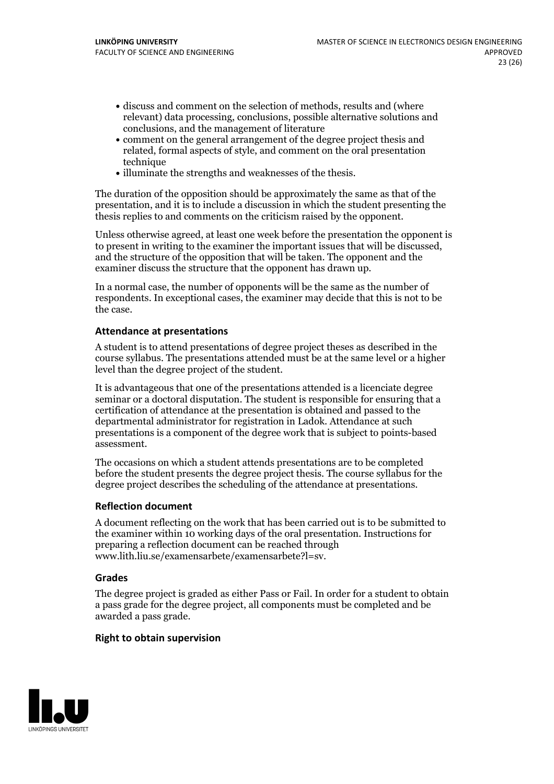- discuss and comment on the selection of methods, results and (where relevant) data processing, conclusions, possible alternative solutions and conclusions, and the management of literature
- comment on the general arrangement of the degree project thesis and related, formal aspects of style, and comment on the oral presentation technique
- illuminate the strengths and weaknesses of the thesis.

The duration of the opposition should be approximately the same as that of the presentation, and it is to include a discussion in which the student presenting the thesis replies to and comments on the criticism raised by the opponent.

Unless otherwise agreed, at least one week before the presentation the opponent is to present in writing to the examiner the important issues that will be discussed, and the structure ofthe opposition that will be taken. The opponent and the examiner discuss the structure that the opponent has drawn up.

In a normal case, the number of opponents will be the same as the number of respondents. In exceptional cases, the examiner may decide that this is not to be the case.

#### **Attendance at presentations**

A student is to attend presentations of degree project theses as described in the course syllabus. The presentations attended must be at the same level or a higher level than the degree project of the student.

It is advantageous that one of the presentations attended is a licenciate degree seminar or a doctoral disputation. The student is responsible for ensuring that a certification of attendance at the presentation is obtained and passed to the departmental administrator for registration in Ladok. Attendance at such presentations is a component of the degree work that is subject to points-based assessment.

The occasions on which a student attends presentations are to be completed before the student presents the degree project thesis. The course syllabus for the degree project describes the scheduling of the attendance at presentations.

#### **Reflection document**

A document reflecting on the work that has been carried outis to be submitted to the examiner within 10 working days of the oral presentation. Instructions for preparing a reflection document can be reached through www.lith.liu.se/examensarbete/examensarbete?l=sv.

#### **Grades**

The degree project is graded as either Pass or Fail. In order for a student to obtain a pass grade for the degree project, all components must be completed and be awarded a pass grade.

#### **Right to obtain supervision**

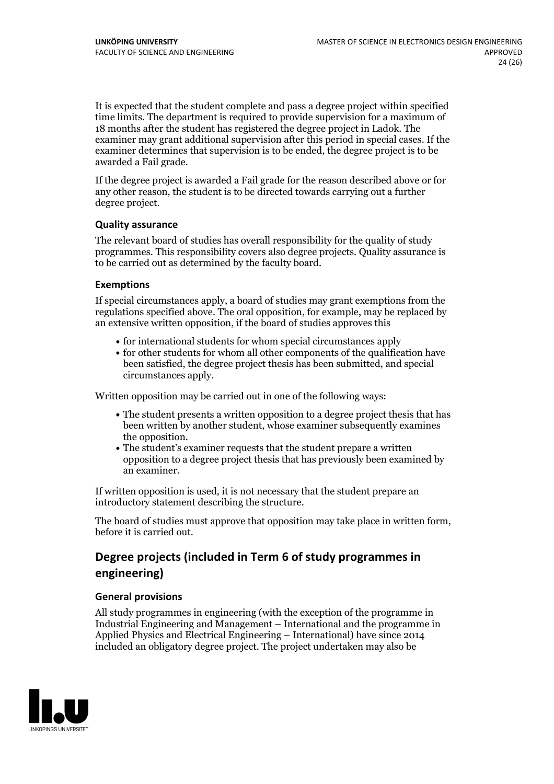It is expected that the student complete and pass a degree project within specified time limits. The department is required to provide supervision for a maximum of 18 months after the student has registered the degree project in Ladok. The examiner may grant additional supervision after this period in special cases. If the examiner determines that supervision is to be ended, the degree project is to be awarded a Fail grade.

If the degree project is awarded a Fail grade for the reason described above or for any other reason, the student is to be directed towards carrying out a further degree project.

#### **Quality assurance**

The relevant board of studies has overall responsibility for the quality of study programmes. This responsibility covers also degree projects. Quality assurance is to be carried out as determined by the faculty board.

#### **Exemptions**

If special circumstances apply, a board of studies may grant exemptions from the regulations specified above. The oral opposition, for example, may be replaced by an extensive written opposition, if the board of studies approves this

- for international students for whom special circumstances apply
- for other students for whom all other components of the qualification have been satisfied, the degree project thesis has been submitted, and special circumstances apply.

Written opposition may be carried out in one of the following ways:

- The student presents a written opposition to a degree project thesis that has been written by another student, whose examiner subsequently examines the opposition.<br>• The student's examiner requests that the student prepare a written
- opposition to a degree project thesis that has previously been examined by an examiner.

If written opposition is used, it is not necessary that the student prepare an introductory statement describing the structure.

The board of studies must approve that opposition may take place in written form, before it is carried out.

## **Degree projects (included in Term 6 of study programmes in engineering)**

#### **General provisions**

All study programmes in engineering (with the exception of the programme in Industrial Engineering and Management – International and the programme in Applied Physics and Electrical Engineering – International) have since 2014 included an obligatory degree project. The project undertaken may also be

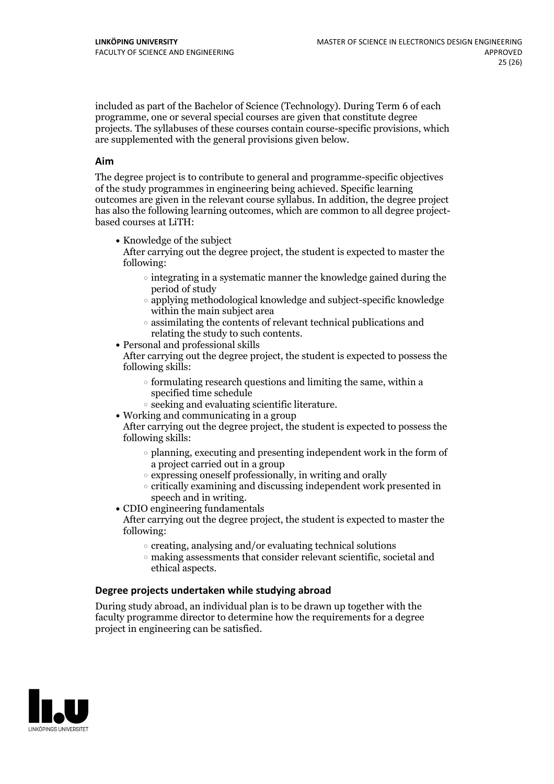included as part of the Bachelor of Science (Technology). During Term 6 of each programme, one or several special courses are given that constitute degree projects. The syllabuses of these courses contain course-specific provisions, which are supplemented with the general provisions given below.

#### **Aim**

The degree project is to contribute to general and programme-specific objectives of the study programmes in engineering being achieved. Specific learning outcomes are given in the relevant course syllabus. In addition, the degree project has also the following learning outcomes, which are common to all degree project- based courses at LiTH:

• Knowledge of the subject

After carrying out the degree project, the student is expected to master the following:

- $\circ$  integrating in a systematic manner the knowledge gained during the period of study
- applying methodological knowledge and subject-specific knowledge within the main subject area
- $\circ$  assimilating the contents of relevant technical publications and relating the study to such contents.<br>• Personal and professional skills
- 

After carrying out the degree project, the student is expected to possess the following skills:

- $\circ$  formulating research questions and limiting the same, within a specified time schedule
- $\circ$  seeking and evaluating scientific literature.<br>• Working and communicating in a group
- 

After carrying out the degree project, the student is expected to possess the following skills:

- $\circ$  planning, executing and presenting independent work in the form of a project carried out in a group
- $\circ$  expressing oneself professionally, in writing and orally
- $\circ$  critically examining and discussing independent work presented in speech and in writing.
- $\bullet$  CDIO engineering fundamentals

After carrying out the degree project, the student is expected to master the following:

- $\circ$  creating, analysing and/or evaluating technical solutions
- making assessments that consider relevant scientific, societal and ethical aspects.

#### **Degree projects undertaken while studying abroad**

During study abroad, an individual plan is to be drawn up together with the faculty programme director to determine how the requirements for a degree project in engineering can be satisfied.